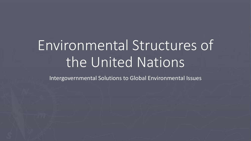# Environmental Structures of the United Nations

Intergovernmental Solutions to Global Environmental Issues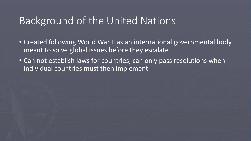#### Background of the United Nations

- Created following World War II as an international governmental body meant to solve global issues before they escalate
- Can not establish laws for countries, can only pass resolutions when individual countries must then implement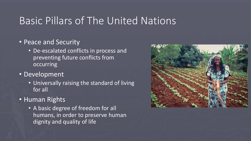#### Basic Pillars of The United Nations

#### • Peace and Security

- De-escalated conflicts in process and preventing future conflicts from occurring
- Development
	- Universally raising the standard of living for all
- Human Rights
	- A basic degree of freedom for all humans, in order to preserve human dignity and quality of life

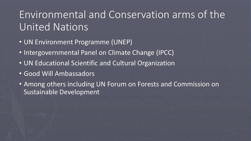## Environmental and Conservation arms of the United Nations

- UN Environment Programme (UNEP)
- Intergovernmental Panel on Climate Change (IPCC)
- UN Educational Scientific and Cultural Organization
- Good Will Ambassadors
- Among others including UN Forum on Forests and Commission on Sustainable Development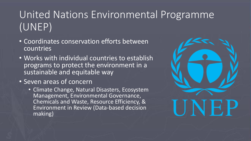# United Nations Environmental Programme (UNEP)

- Coordinates conservation efforts between countries
- Works with individual countries to establish programs to protect the environment in a sustainable and equitable way
- Seven areas of concern
	- Climate Change, Natural Disasters, Ecosystem Management, Environmental Governance, Chemicals and Waste, Resource Efficiency, & Environment in Review (Data-based decision making)

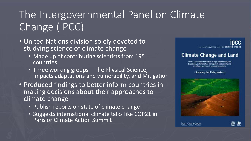# The Intergovernmental Panel on Climate Change (IPCC)

- United Nations division solely devoted to studying science of climate change
	- Made up of contributing scientists from 195 countries
	- Three working groups The Physical Science, Impacts adaptations and vulnerability, and Mitigation
- Produced findings to better inform countries in making decisions about their approaches to climate change
	- Publish reports on state of climate change
	- Suggests international climate talks like COP21 in Paris or Climate Action Summit



[ WG I ╳ WG II ╳WG II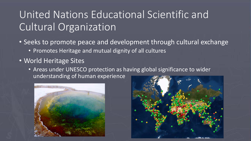## United Nations Educational Scientific and Cultural Organization

- Seeks to promote peace and development through cultural exchange
	- Promotes Heritage and mutual dignity of all cultures
- World Heritage Sites
	- Areas under UNESCO protection as having global significance to wider understanding of human experience